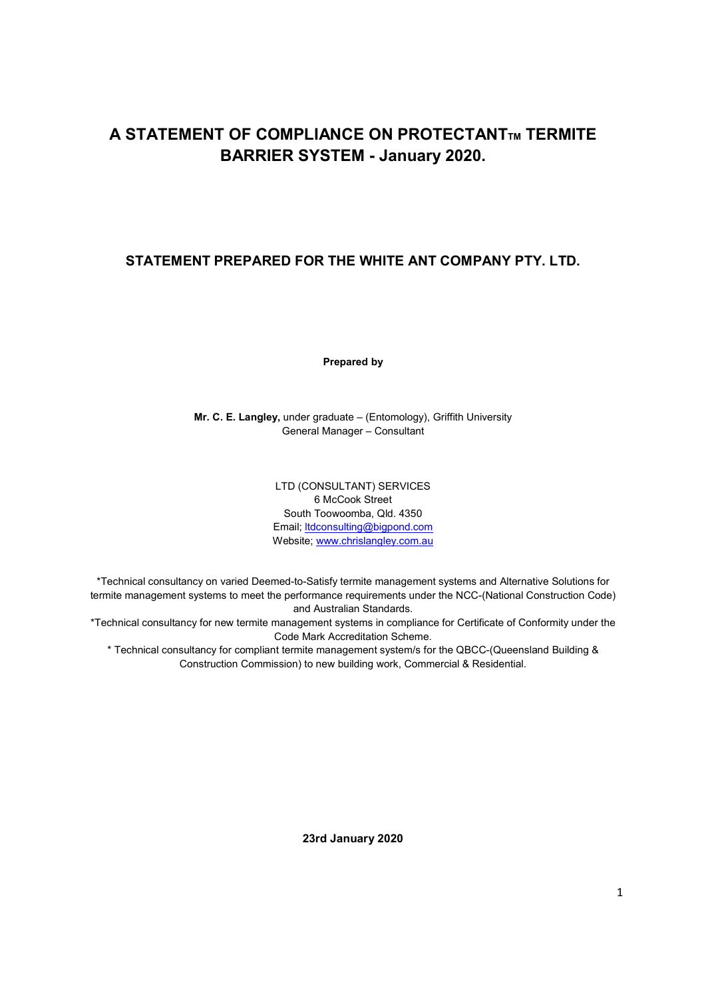# A STATEMENT OF COMPLIANCE ON PROTECTANTTM TERMITE BARRIER SYSTEM - January 2020.

# STATEMENT PREPARED FOR THE WHITE ANT COMPANY PTY. LTD.

Prepared by

Mr. C. E. Langley, under graduate – (Entomology), Griffith University General Manager – Consultant

> LTD (CONSULTANT) SERVICES 6 McCook Street South Toowoomba, Qld. 4350 Email; ltdconsulting@bigpond.com Website; www.chrislangley.com.au

\*Technical consultancy on varied Deemed-to-Satisfy termite management systems and Alternative Solutions for termite management systems to meet the performance requirements under the NCC-(National Construction Code) and Australian Standards.

\*Technical consultancy for new termite management systems in compliance for Certificate of Conformity under the Code Mark Accreditation Scheme.

\* Technical consultancy for compliant termite management system/s for the QBCC-(Queensland Building & Construction Commission) to new building work, Commercial & Residential.

23rd January 2020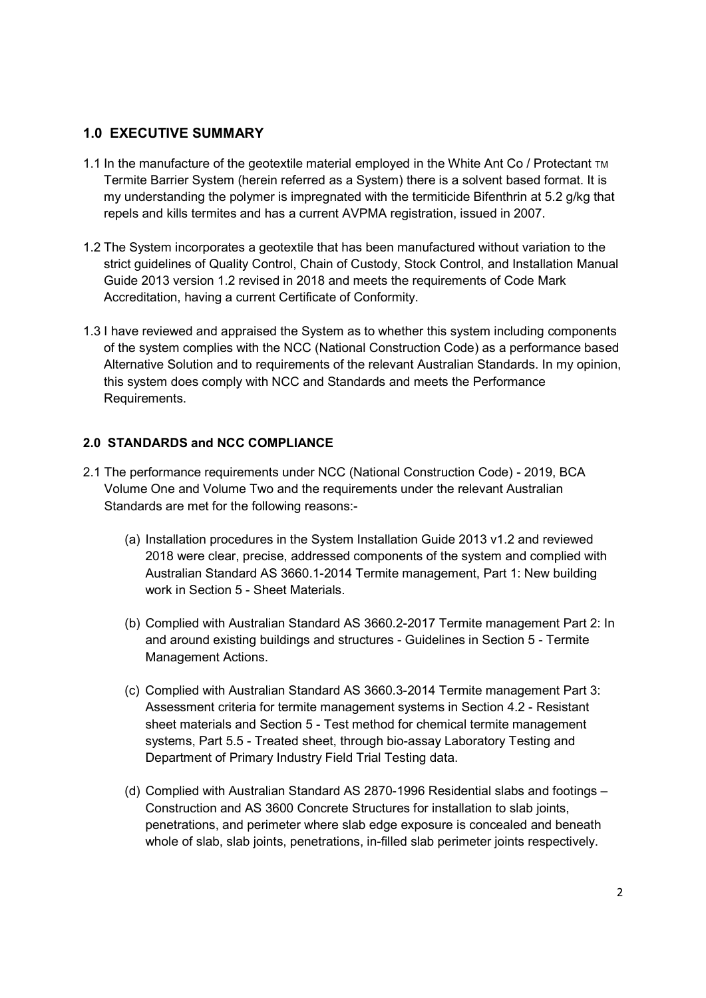## 1.0 EXECUTIVE SUMMARY

- 1.1 In the manufacture of the geotextile material employed in the White Ant Co / Protectant TM Termite Barrier System (herein referred as a System) there is a solvent based format. It is my understanding the polymer is impregnated with the termiticide Bifenthrin at 5.2 g/kg that repels and kills termites and has a current AVPMA registration, issued in 2007.
- 1.2 The System incorporates a geotextile that has been manufactured without variation to the strict guidelines of Quality Control, Chain of Custody, Stock Control, and Installation Manual Guide 2013 version 1.2 revised in 2018 and meets the requirements of Code Mark Accreditation, having a current Certificate of Conformity.
- 1.3 I have reviewed and appraised the System as to whether this system including components of the system complies with the NCC (National Construction Code) as a performance based Alternative Solution and to requirements of the relevant Australian Standards. In my opinion, this system does comply with NCC and Standards and meets the Performance Requirements.

## 2.0 STANDARDS and NCC COMPLIANCE

- 2.1 The performance requirements under NCC (National Construction Code) 2019, BCA Volume One and Volume Two and the requirements under the relevant Australian Standards are met for the following reasons:-
	- (a) Installation procedures in the System Installation Guide 2013 v1.2 and reviewed 2018 were clear, precise, addressed components of the system and complied with Australian Standard AS 3660.1-2014 Termite management, Part 1: New building work in Section 5 - Sheet Materials.
	- (b) Complied with Australian Standard AS 3660.2-2017 Termite management Part 2: In and around existing buildings and structures - Guidelines in Section 5 - Termite Management Actions.
	- (c) Complied with Australian Standard AS 3660.3-2014 Termite management Part 3: Assessment criteria for termite management systems in Section 4.2 - Resistant sheet materials and Section 5 - Test method for chemical termite management systems, Part 5.5 - Treated sheet, through bio-assay Laboratory Testing and Department of Primary Industry Field Trial Testing data.
	- (d) Complied with Australian Standard AS 2870-1996 Residential slabs and footings Construction and AS 3600 Concrete Structures for installation to slab joints, penetrations, and perimeter where slab edge exposure is concealed and beneath whole of slab, slab joints, penetrations, in-filled slab perimeter joints respectively.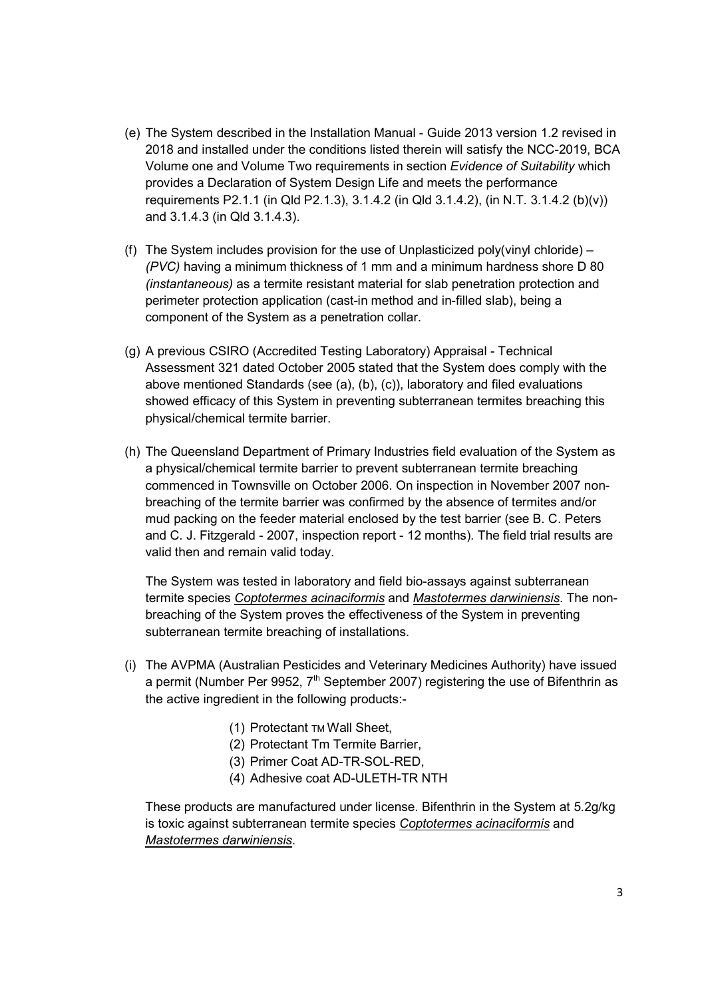- (e) The System described in the Installation Manual Guide 2013 version 1.2 revised in 2018 and installed under the conditions listed therein will satisfy the NCC-2019, BCA Volume one and Volume Two requirements in section Evidence of Suitability which provides a Declaration of System Design Life and meets the performance requirements P2.1.1 (in Qld P2.1.3), 3.1.4.2 (in Qld 3.1.4.2), (in N.T. 3.1.4.2 (b)(v)) and 3.1.4.3 (in Qld 3.1.4.3).
- (f) The System includes provision for the use of Unplasticized poly(vinyl chloride) (PVC) having a minimum thickness of 1 mm and a minimum hardness shore D 80 (instantaneous) as a termite resistant material for slab penetration protection and perimeter protection application (cast-in method and in-filled slab), being a component of the System as a penetration collar.
- (g) A previous CSIRO (Accredited Testing Laboratory) Appraisal Technical Assessment 321 dated October 2005 stated that the System does comply with the above mentioned Standards (see (a), (b), (c)), laboratory and filed evaluations showed efficacy of this System in preventing subterranean termites breaching this physical/chemical termite barrier.
- (h) The Queensland Department of Primary Industries field evaluation of the System as a physical/chemical termite barrier to prevent subterranean termite breaching commenced in Townsville on October 2006. On inspection in November 2007 nonbreaching of the termite barrier was confirmed by the absence of termites and/or mud packing on the feeder material enclosed by the test barrier (see B. C. Peters and C. J. Fitzgerald - 2007, inspection report - 12 months). The field trial results are valid then and remain valid today.

The System was tested in laboratory and field bio-assays against subterranean termite species Coptotermes acinaciformis and Mastotermes darwiniensis. The nonbreaching of the System proves the effectiveness of the System in preventing subterranean termite breaching of installations.

- (i) The AVPMA (Australian Pesticides and Veterinary Medicines Authority) have issued a permit (Number Per 9952,  $7<sup>th</sup>$  September 2007) registering the use of Bifenthrin as the active ingredient in the following products:-
	- (1) Protectant TM Wall Sheet,
	- (2) Protectant Tm Termite Barrier,
	- (3) Primer Coat AD-TR-SOL-RED,
	- (4) Adhesive coat AD-ULETH-TR NTH

These products are manufactured under license. Bifenthrin in the System at 5.2g/kg is toxic against subterranean termite species Coptotermes acinaciformis and Mastotermes darwiniensis.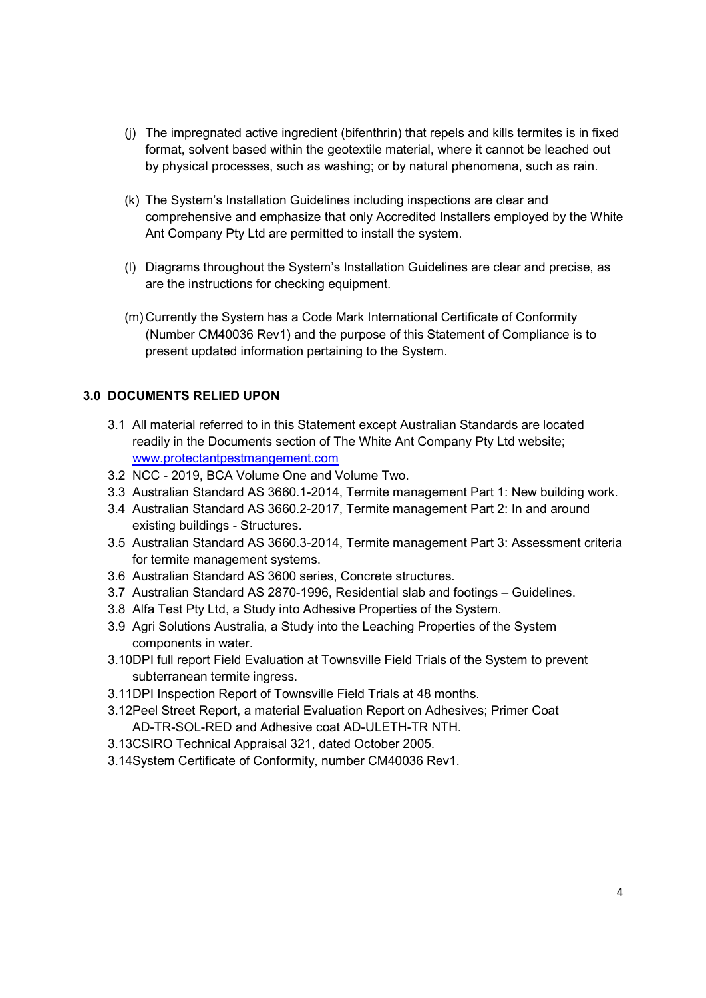- (j) The impregnated active ingredient (bifenthrin) that repels and kills termites is in fixed format, solvent based within the geotextile material, where it cannot be leached out by physical processes, such as washing; or by natural phenomena, such as rain.
- (k) The System's Installation Guidelines including inspections are clear and comprehensive and emphasize that only Accredited Installers employed by the White Ant Company Pty Ltd are permitted to install the system.
- (l) Diagrams throughout the System's Installation Guidelines are clear and precise, as are the instructions for checking equipment.
- (m) Currently the System has a Code Mark International Certificate of Conformity (Number CM40036 Rev1) and the purpose of this Statement of Compliance is to present updated information pertaining to the System.

### 3.0 DOCUMENTS RELIED UPON

- 3.1 All material referred to in this Statement except Australian Standards are located readily in the Documents section of The White Ant Company Pty Ltd website; www.protectantpestmangement.com
- 3.2 NCC 2019, BCA Volume One and Volume Two.
- 3.3 Australian Standard AS 3660.1-2014, Termite management Part 1: New building work.
- 3.4 Australian Standard AS 3660.2-2017, Termite management Part 2: In and around existing buildings - Structures.
- 3.5 Australian Standard AS 3660.3-2014, Termite management Part 3: Assessment criteria for termite management systems.
- 3.6 Australian Standard AS 3600 series, Concrete structures.
- 3.7 Australian Standard AS 2870-1996, Residential slab and footings Guidelines.
- 3.8 Alfa Test Pty Ltd, a Study into Adhesive Properties of the System.
- 3.9 Agri Solutions Australia, a Study into the Leaching Properties of the System components in water.
- 3.10DPI full report Field Evaluation at Townsville Field Trials of the System to prevent subterranean termite ingress.
- 3.11DPI Inspection Report of Townsville Field Trials at 48 months.
- 3.12Peel Street Report, a material Evaluation Report on Adhesives; Primer Coat AD-TR-SOL-RED and Adhesive coat AD-ULETH-TR NTH.
- 3.13CSIRO Technical Appraisal 321, dated October 2005.
- 3.14System Certificate of Conformity, number CM40036 Rev1.